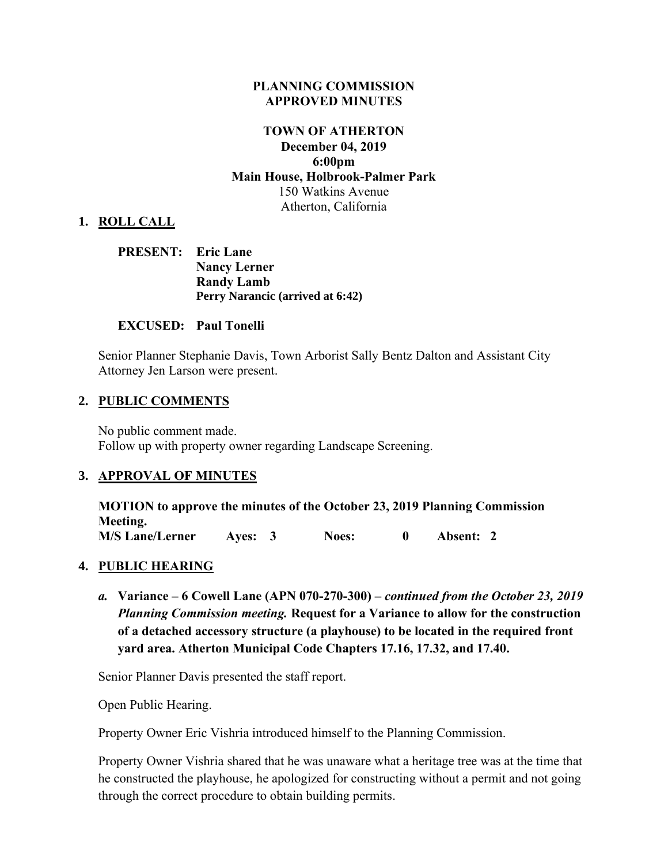#### **PLANNING COMMISSION APPROVED MINUTES**

### **TOWN OF ATHERTON December 04, 2019 6:00pm Main House, Holbrook-Palmer Park** 150 Watkins Avenue Atherton, California

#### **1. ROLL CALL**

### **PRESENT: Eric Lane Nancy Lerner Randy Lamb Perry Narancic (arrived at 6:42)**

#### **EXCUSED: Paul Tonelli**

Senior Planner Stephanie Davis, Town Arborist Sally Bentz Dalton and Assistant City Attorney Jen Larson were present.

#### **2. PUBLIC COMMENTS**

No public comment made. Follow up with property owner regarding Landscape Screening.

#### **3. APPROVAL OF MINUTES**

**MOTION to approve the minutes of the October 23, 2019 Planning Commission Meeting. M/S Lane/Lerner Ayes: 3 Noes: 0 Absent: 2** 

#### **4. PUBLIC HEARING**

*a.* **Variance – 6 Cowell Lane (APN 070-270-300) –** *continued from the October 23, 2019 Planning Commission meeting.* **Request for a Variance to allow for the construction of a detached accessory structure (a playhouse) to be located in the required front yard area. Atherton Municipal Code Chapters 17.16, 17.32, and 17.40.** 

Senior Planner Davis presented the staff report.

Open Public Hearing.

Property Owner Eric Vishria introduced himself to the Planning Commission.

Property Owner Vishria shared that he was unaware what a heritage tree was at the time that he constructed the playhouse, he apologized for constructing without a permit and not going through the correct procedure to obtain building permits.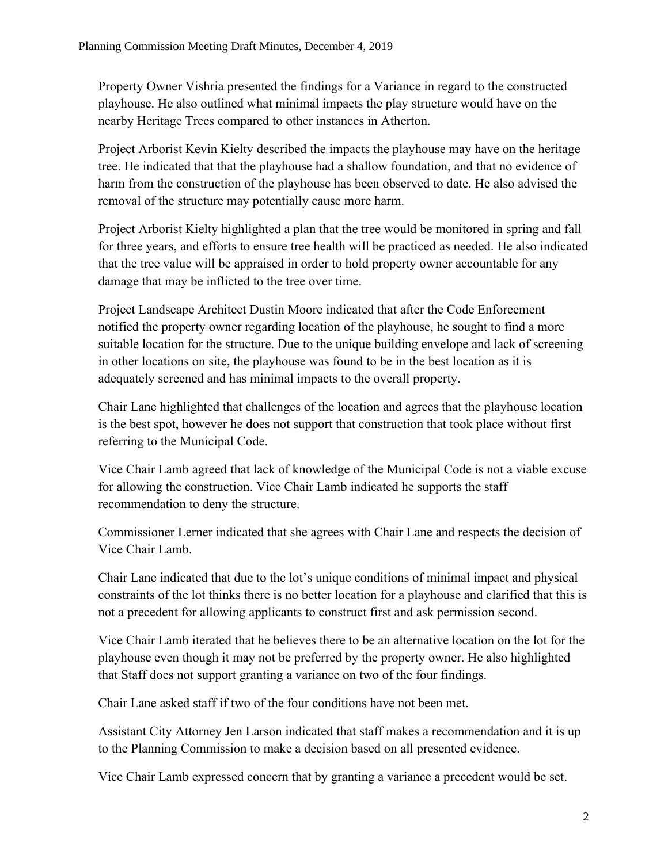Property Owner Vishria presented the findings for a Variance in regard to the constructed playhouse. He also outlined what minimal impacts the play structure would have on the nearby Heritage Trees compared to other instances in Atherton.

Project Arborist Kevin Kielty described the impacts the playhouse may have on the heritage tree. He indicated that that the playhouse had a shallow foundation, and that no evidence of harm from the construction of the playhouse has been observed to date. He also advised the removal of the structure may potentially cause more harm.

Project Arborist Kielty highlighted a plan that the tree would be monitored in spring and fall for three years, and efforts to ensure tree health will be practiced as needed. He also indicated that the tree value will be appraised in order to hold property owner accountable for any damage that may be inflicted to the tree over time.

Project Landscape Architect Dustin Moore indicated that after the Code Enforcement notified the property owner regarding location of the playhouse, he sought to find a more suitable location for the structure. Due to the unique building envelope and lack of screening in other locations on site, the playhouse was found to be in the best location as it is adequately screened and has minimal impacts to the overall property.

Chair Lane highlighted that challenges of the location and agrees that the playhouse location is the best spot, however he does not support that construction that took place without first referring to the Municipal Code.

Vice Chair Lamb agreed that lack of knowledge of the Municipal Code is not a viable excuse for allowing the construction. Vice Chair Lamb indicated he supports the staff recommendation to deny the structure.

Commissioner Lerner indicated that she agrees with Chair Lane and respects the decision of Vice Chair Lamb.

Chair Lane indicated that due to the lot's unique conditions of minimal impact and physical constraints of the lot thinks there is no better location for a playhouse and clarified that this is not a precedent for allowing applicants to construct first and ask permission second.

Vice Chair Lamb iterated that he believes there to be an alternative location on the lot for the playhouse even though it may not be preferred by the property owner. He also highlighted that Staff does not support granting a variance on two of the four findings.

Chair Lane asked staff if two of the four conditions have not been met.

Assistant City Attorney Jen Larson indicated that staff makes a recommendation and it is up to the Planning Commission to make a decision based on all presented evidence.

Vice Chair Lamb expressed concern that by granting a variance a precedent would be set.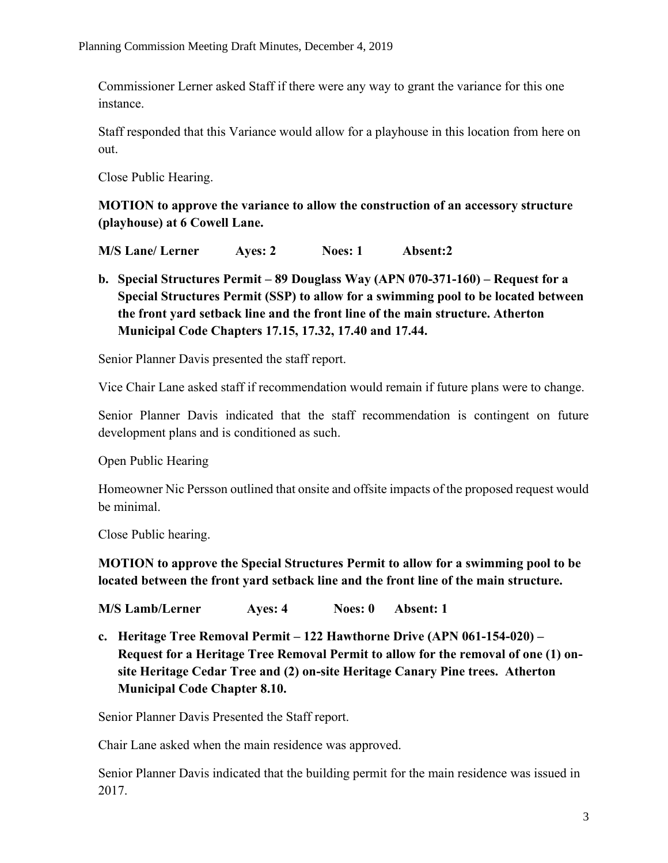Commissioner Lerner asked Staff if there were any way to grant the variance for this one instance.

Staff responded that this Variance would allow for a playhouse in this location from here on out.

Close Public Hearing.

**MOTION to approve the variance to allow the construction of an accessory structure (playhouse) at 6 Cowell Lane.**

**M/S Lane/ Lerner Ayes: 2 Noes: 1 Absent:2**

**b. Special Structures Permit – 89 Douglass Way (APN 070-371-160) – Request for a Special Structures Permit (SSP) to allow for a swimming pool to be located between the front yard setback line and the front line of the main structure. Atherton Municipal Code Chapters 17.15, 17.32, 17.40 and 17.44.**

Senior Planner Davis presented the staff report.

Vice Chair Lane asked staff if recommendation would remain if future plans were to change.

Senior Planner Davis indicated that the staff recommendation is contingent on future development plans and is conditioned as such.

Open Public Hearing

Homeowner Nic Persson outlined that onsite and offsite impacts of the proposed request would be minimal.

Close Public hearing.

**MOTION to approve the Special Structures Permit to allow for a swimming pool to be located between the front yard setback line and the front line of the main structure.**

**M/S Lamb/Lerner Ayes: 4 Noes: 0 Absent: 1**

**c. Heritage Tree Removal Permit – 122 Hawthorne Drive (APN 061-154-020) – Request for a Heritage Tree Removal Permit to allow for the removal of one (1) onsite Heritage Cedar Tree and (2) on-site Heritage Canary Pine trees. Atherton Municipal Code Chapter 8.10.**

Senior Planner Davis Presented the Staff report.

Chair Lane asked when the main residence was approved.

Senior Planner Davis indicated that the building permit for the main residence was issued in 2017.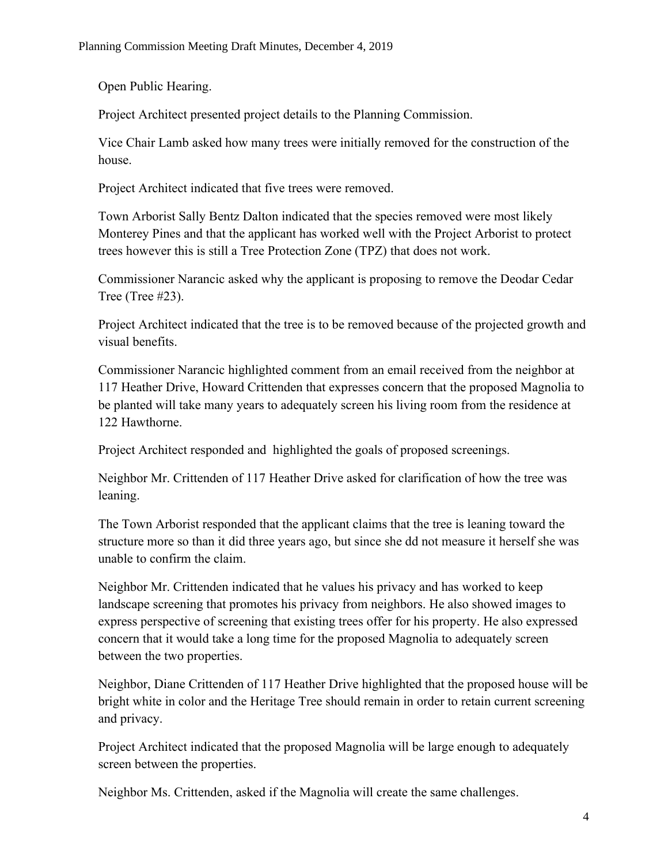Open Public Hearing.

Project Architect presented project details to the Planning Commission.

Vice Chair Lamb asked how many trees were initially removed for the construction of the house.

Project Architect indicated that five trees were removed.

Town Arborist Sally Bentz Dalton indicated that the species removed were most likely Monterey Pines and that the applicant has worked well with the Project Arborist to protect trees however this is still a Tree Protection Zone (TPZ) that does not work.

Commissioner Narancic asked why the applicant is proposing to remove the Deodar Cedar Tree (Tree #23).

Project Architect indicated that the tree is to be removed because of the projected growth and visual benefits.

Commissioner Narancic highlighted comment from an email received from the neighbor at 117 Heather Drive, Howard Crittenden that expresses concern that the proposed Magnolia to be planted will take many years to adequately screen his living room from the residence at 122 Hawthorne.

Project Architect responded and highlighted the goals of proposed screenings.

Neighbor Mr. Crittenden of 117 Heather Drive asked for clarification of how the tree was leaning.

The Town Arborist responded that the applicant claims that the tree is leaning toward the structure more so than it did three years ago, but since she dd not measure it herself she was unable to confirm the claim.

Neighbor Mr. Crittenden indicated that he values his privacy and has worked to keep landscape screening that promotes his privacy from neighbors. He also showed images to express perspective of screening that existing trees offer for his property. He also expressed concern that it would take a long time for the proposed Magnolia to adequately screen between the two properties.

Neighbor, Diane Crittenden of 117 Heather Drive highlighted that the proposed house will be bright white in color and the Heritage Tree should remain in order to retain current screening and privacy.

Project Architect indicated that the proposed Magnolia will be large enough to adequately screen between the properties.

Neighbor Ms. Crittenden, asked if the Magnolia will create the same challenges.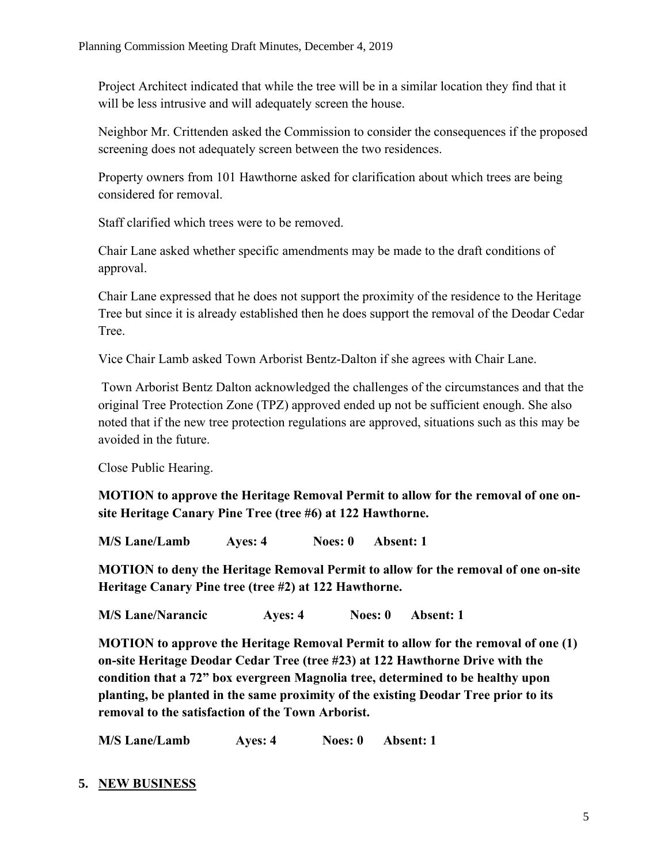Project Architect indicated that while the tree will be in a similar location they find that it will be less intrusive and will adequately screen the house.

Neighbor Mr. Crittenden asked the Commission to consider the consequences if the proposed screening does not adequately screen between the two residences.

Property owners from 101 Hawthorne asked for clarification about which trees are being considered for removal.

Staff clarified which trees were to be removed.

Chair Lane asked whether specific amendments may be made to the draft conditions of approval.

Chair Lane expressed that he does not support the proximity of the residence to the Heritage Tree but since it is already established then he does support the removal of the Deodar Cedar Tree.

Vice Chair Lamb asked Town Arborist Bentz-Dalton if she agrees with Chair Lane.

Town Arborist Bentz Dalton acknowledged the challenges of the circumstances and that the original Tree Protection Zone (TPZ) approved ended up not be sufficient enough. She also noted that if the new tree protection regulations are approved, situations such as this may be avoided in the future.

Close Public Hearing.

**MOTION to approve the Heritage Removal Permit to allow for the removal of one onsite Heritage Canary Pine Tree (tree #6) at 122 Hawthorne.** 

**M/S Lane/Lamb Ayes: 4 Noes: 0 Absent: 1**

**MOTION to deny the Heritage Removal Permit to allow for the removal of one on-site Heritage Canary Pine tree (tree #2) at 122 Hawthorne.** 

**M/S Lane/Narancic Ayes: 4 Noes: 0 Absent: 1**

**MOTION to approve the Heritage Removal Permit to allow for the removal of one (1) on-site Heritage Deodar Cedar Tree (tree #23) at 122 Hawthorne Drive with the condition that a 72" box evergreen Magnolia tree, determined to be healthy upon planting, be planted in the same proximity of the existing Deodar Tree prior to its removal to the satisfaction of the Town Arborist.** 

**M/S Lane/Lamb Ayes: 4 Noes: 0 Absent: 1**

# **5. NEW BUSINESS**